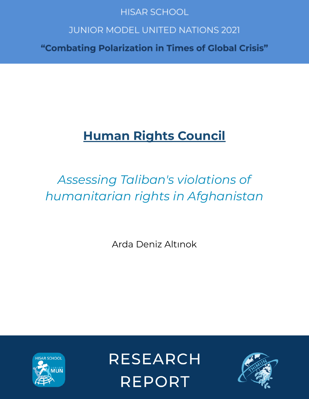## **HISAR SCHOOL**

## **JUNIOR MODEL UNITED NATIONS 2021**

"Combating Polarization in Times of Global Crisis"

# **Human Rights Council**

# *Assessing Taliban's violations of humanitarian rights in Afghanistan*

Arda Deniz Altınok



**RESEARCH REPORT** 

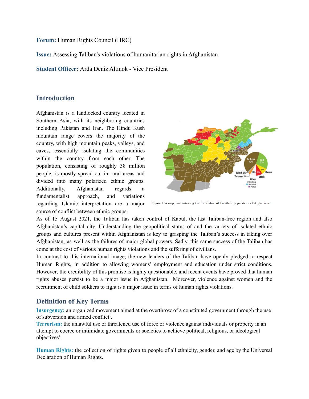**Forum:** Human Rights Council (HRC)

**Issue:** Assessing Taliban's violations of humanitarian rights in Afghanistan

**Student Officer:** Arda Deniz Altınok - Vice President

## **Introduction**

Afghanistan is a landlocked country located in Southern Asia, with its neighboring countries including Pakistan and Iran. The Hindu Kush mountain range covers the majority of the country, with high mountain peaks, valleys, and caves, essentially isolating the communities within the country from each other. The population, consisting of roughly 38 million people, is mostly spread out in rural areas and divided into many polarized ethnic groups. Additionally, Afghanistan regards fundamentalist approach, and variations regarding Islamic interpretation are a major source of conflict between ethnic groups.



Figure 1: A map demonstrating the distribution of the ethnic populations of Afghanistan

As of 15 August 2021, the Taliban has taken control of Kabul, the last Taliban-free region and also Afghanistan's capital city. Understanding the geopolitical status of and the variety of isolated ethnic groups and cultures present within Afghanistan is key to grasping the Taliban's success in taking over Afghanistan, as well as the failures of major global powers. Sadly, this same success of the Taliban has come at the cost of various human rights violations and the suffering of civilians.

In contrast to this international image, the new leaders of the Taliban have openly pledged to respect Human Rights, in addition to allowing womens' employment and education under strict conditions. However, the credibility of this promise is highly questionable, and recent events have proved that human rights abuses persist to be a major issue in Afghanistan. Moreover, violence against women and the recruitment of child soldiers to fight is a major issue in terms of human rights violations.

## **Definition of Key Terms**

**Insurgency:** an organized movement aimed at the overthrow of a constituted government through the use of subversion and armed conflict 1 *.*

**Terrorism:** the unlawful use or threatened use of force or violence against individuals or property in an attempt to coerce or intimidate governments or societies to achieve political, religious, or ideological objectives 1 *.*

**Human Rights:** the collection of rights given to people of all ethnicity, gender, and age by the Universal Declaration of Human Rights.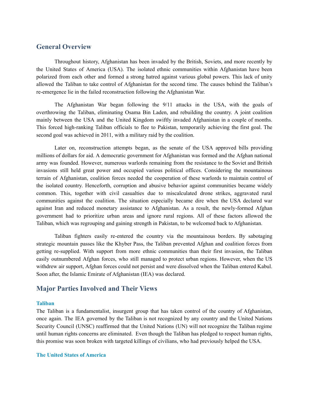#### **General Overview**

Throughout history, Afghanistan has been invaded by the British, Soviets, and more recently by the United States of America (USA). The isolated ethnic communities within Afghanistan have been polarized from each other and formed a strong hatred against various global powers. This lack of unity allowed the Taliban to take control of Afghanistan for the second time. The causes behind the Taliban's re-emergence lie in the failed reconstruction following the Afghanistan War.

The Afghanistan War began following the 9/11 attacks in the USA, with the goals of overthrowing the Taliban, eliminating Osama Bin Laden, and rebuilding the country. A joint coalition mainly between the USA and the United Kingdom swiftly invaded Afghanistan in a couple of months. This forced high-ranking Taliban officials to flee to Pakistan, temporarily achieving the first goal. The second goal was achieved in 2011, with a military raid by the coalition.

Later on, reconstruction attempts began, as the senate of the USA approved bills providing millions of dollars for aid. A democratic government for Afghanistan was formed and the Afghan national army was founded. However, numerous warlords remaining from the resistance to the Soviet and British invasions still held great power and occupied various political offices. Considering the mountainous terrain of Afghanistan, coalition forces needed the cooperation of these warlords to maintain control of the isolated country. Henceforth, corruption and abusive behavior against communities became widely common. This, together with civil casualties due to miscalculated drone strikes, aggravated rural communities against the coalition. The situation especially became dire when the USA declared war against Iran and reduced monetary assistance to Afghanistan. As a result, the newly-formed Afghan government had to prioritize urban areas and ignore rural regions. All of these factors allowed the Taliban, which was regrouping and gaining strength in Pakistan, to be welcomed back to Afghanistan.

Taliban fighters easily re-entered the country via the mountainous borders. By sabotaging strategic mountain passes like the Khyber Pass, the Taliban prevented Afghan and coalition forces from getting re-supplied. With support from more ethnic communities than their first invasion, the Taliban easily outnumbered Afghan forces, who still managed to protect urban regions. However, when the US withdrew air support, Afghan forces could not persist and were dissolved when the Taliban entered Kabul. Soon after, the Islamic Emirate of Afghanistan (IEA) was declared.

## **Major Parties Involved and Their Views**

#### **Taliban**

The Taliban is a fundamentalist, insurgent group that has taken control of the country of Afghanistan, once again. The IEA governed by the Taliban is not recognized by any country and the United Nations Security Council (UNSC) reaffirmed that the United Nations (UN) will not recognize the Taliban regime until human rights concerns are eliminated. Even though the Taliban has pledged to respect human rights, this promise was soon broken with targeted killings of civilians, who had previously helped the USA.

#### **The United States of America**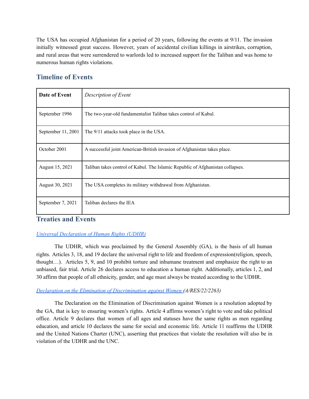The USA has occupied Afghanistan for a period of 20 years, following the events at 9/11. The invasion initially witnessed great success. However, years of accidental civilian killings in airstrikes, corruption, and rural areas that were surrendered to warlords led to increased support for the Taliban and was home to numerous human rights violations.

## **Timeline of Events**

| Date of Event      | Description of Event                                                           |
|--------------------|--------------------------------------------------------------------------------|
| September 1996     | The two-year-old fundamentalist Taliban takes control of Kabul.                |
| September 11, 2001 | The 9/11 attacks took place in the USA.                                        |
| October 2001       | A successful joint American-British invasion of Afghanistan takes place.       |
| August 15, 2021    | Taliban takes control of Kabul. The Islamic Republic of Afghanistan collapses. |
| August 30, 2021    | The USA completes its military withdrawal from Afghanistan.                    |
| September 7, 2021  | Taliban declares the IEA                                                       |

## **Treaties and Events**

## *Universal [Declaration](https://www.un.org/sites/un2.un.org/files/udhr.pdf) of Human Rights (UDHR)*

The UDHR, which was proclaimed by the General Assembly (GA), is the basis of all human rights. Articles 3, 18, and 19 declare the universal right to life and freedom of expression(religion, speech, thought…). Articles 5, 9, and 10 prohibit torture and inhumane treatment and emphasize the right to an unbiased, fair trial. Article 26 declares access to education a human right. Additionally, articles 1, 2, and 30 affirm that people of all ethnicity, gender, and age must always be treated according to the UDHR.

#### *Declaration on the Elimination of [Discrimination](https://www.eods.eu/library/UNGA_Declaration%20Women_1967_en.pdf) against Women (A/RES/22/2263)*

The Declaration on the Elimination of Discrimination against Women is a resolution adopted by the GA, that is key to ensuring women's rights. Article 4 affirms women's right to vote and take political office. Article 9 declares that women of all ages and statuses have the same rights as men regarding education, and article 10 declares the same for social and economic life. Article 11 reaffirms the UDHR and the United Nations Charter (UNC), asserting that practices that violate the resolution will also be in violation of the UDHR and the UNC.